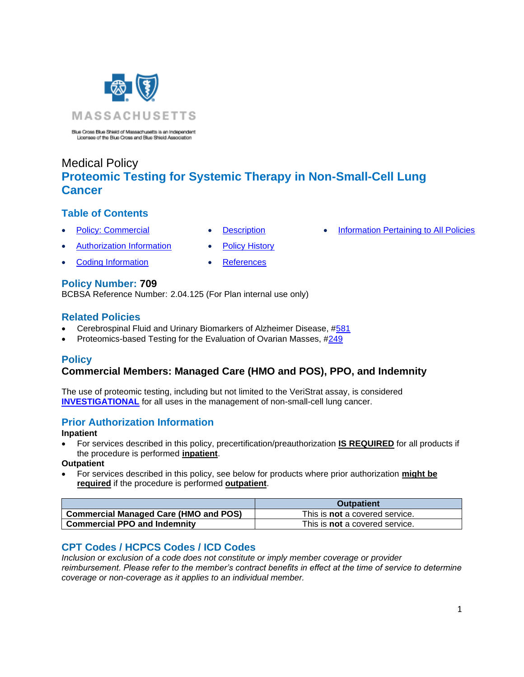

Blue Cross Blue Shield of Massachusetts is an Independent Licensee of the Blue Cross and Blue Shield Association

# Medical Policy **Proteomic Testing for Systemic Therapy in Non-Small-Cell Lung Cancer**

# **Table of Contents**

- 
- 
- **[Policy: Commercial](#page-0-0) [Description](#page-1-0) [Information Pertaining to All Policies](#page-6-0)**
- [Authorization Information](#page-0-1) [Policy History](#page-6-1)
- **[Coding Information](#page-0-2) [References](#page-7-0)**
- 

## **Policy Number: 709**

BCBSA Reference Number: 2.04.125 (For Plan internal use only)

# **Related Policies**

- Cerebrospinal Fluid and Urinary Biomarkers of Alzheimer Disease, [#581](https://www.bluecrossma.org/medical-policies/sites/g/files/csphws2091/files/acquiadam-assets/581%20Cerebrospinal%20Fluid%20and%20Urinary%20Biomarkers%20of%20Alzheimer%20Disease%20prn.pdf)
- Proteomics-based Testing for the Evaluation of Ovarian Masses, [#249](http://www.bluecrossma.org/medical-policies/sites/g/files/csphws2091/files/acquiadam-assets/249%20Multimarker%20Serum%20Testing%20Related%20to%20Ovarian%20Cancer%20prn.pdf)

## <span id="page-0-0"></span>**Policy**

# **Commercial Members: Managed Care (HMO and POS), PPO, and Indemnity**

The use of proteomic testing, including but not limited to the VeriStrat assay, is considered **[INVESTIGATIONAL](https://www.bluecrossma.org/medical-policies/sites/g/files/csphws2091/files/acquiadam-assets/Definition%20of%20Med%20Nec%20Inv%20Not%20Med%20Nec%20prn.pdf#page=1)** for all uses in the management of non-small-cell lung cancer.

# <span id="page-0-1"></span>**Prior Authorization Information**

## **Inpatient**

• For services described in this policy, precertification/preauthorization **IS REQUIRED** for all products if the procedure is performed **inpatient**.

## **Outpatient**

• For services described in this policy, see below for products where prior authorization **might be required** if the procedure is performed **outpatient**.

|                                                    | <b>Outpatient</b>                     |
|----------------------------------------------------|---------------------------------------|
| <sup>1</sup> Commercial Managed Care (HMO and POS) | This is <b>not</b> a covered service. |
| <b>Commercial PPO and Indemnity</b>                | This is <b>not</b> a covered service. |

# <span id="page-0-2"></span>**CPT Codes / HCPCS Codes / ICD Codes**

*Inclusion or exclusion of a code does not constitute or imply member coverage or provider reimbursement. Please refer to the member's contract benefits in effect at the time of service to determine coverage or non-coverage as it applies to an individual member.*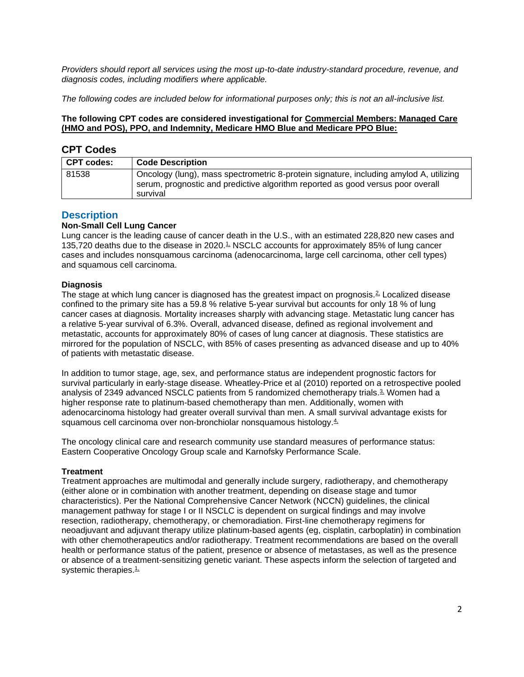*Providers should report all services using the most up-to-date industry-standard procedure, revenue, and diagnosis codes, including modifiers where applicable.*

*The following codes are included below for informational purposes only; this is not an all-inclusive list.*

### **The following CPT codes are considered investigational for Commercial Members: Managed Care (HMO and POS), PPO, and Indemnity, Medicare HMO Blue and Medicare PPO Blue:**

## **CPT Codes**

| <b>CPT codes:</b> | <b>Code Description</b>                                                                                                                                                               |
|-------------------|---------------------------------------------------------------------------------------------------------------------------------------------------------------------------------------|
| 81538             | Oncology (lung), mass spectrometric 8-protein signature, including amylod A, utilizing<br>serum, prognostic and predictive algorithm reported as good versus poor overall<br>survival |

## <span id="page-1-0"></span>**Description**

### **Non-Small Cell Lung Cancer**

Lung cancer is the leading cause of cancer death in the U.S., with an estimated 228,820 new cases and 135,720 deaths due to the disease in 2020.<sup>1</sup> NSCLC accounts for approximately 85% of lung cancer cases and includes nonsquamous carcinoma (adenocarcinoma, large cell carcinoma, other cell types) and squamous cell carcinoma.

#### **Diagnosis**

The stage at which lung cancer is diagnosed has the greatest impact on prognosis.<sup>2</sup> Localized disease confined to the primary site has a 59.8 % relative 5-year survival but accounts for only 18 % of lung cancer cases at diagnosis. Mortality increases sharply with advancing stage. Metastatic lung cancer has a relative 5-year survival of 6.3%. Overall, advanced disease, defined as regional involvement and metastatic, accounts for approximately 80% of cases of lung cancer at diagnosis. These statistics are mirrored for the population of NSCLC, with 85% of cases presenting as advanced disease and up to 40% of patients with metastatic disease.

In addition to tumor stage, age, sex, and performance status are independent prognostic factors for survival particularly in early-stage disease. Wheatley-Price et al (2010) reported on a retrospective pooled analysis of 2349 advanced NSCLC patients from 5 randomized chemotherapy trials.<sup>3</sup> Women had a higher response rate to platinum-based chemotherapy than men. Additionally, women with adenocarcinoma histology had greater overall survival than men. A small survival advantage exists for squamous cell carcinoma over non-bronchiolar nonsquamous histology.<sup>4</sup>

The oncology clinical care and research community use standard measures of performance status: Eastern Cooperative Oncology Group scale and Karnofsky Performance Scale.

#### **Treatment**

Treatment approaches are multimodal and generally include surgery, radiotherapy, and chemotherapy (either alone or in combination with another treatment, depending on disease stage and tumor characteristics). Per the National Comprehensive Cancer Network (NCCN) guidelines, the clinical management pathway for stage I or II NSCLC is dependent on surgical findings and may involve resection, radiotherapy, chemotherapy, or chemoradiation. First-line chemotherapy regimens for neoadjuvant and adjuvant therapy utilize platinum-based agents (eg, cisplatin, carboplatin) in combination with other chemotherapeutics and/or radiotherapy. Treatment recommendations are based on the overall health or performance status of the patient, presence or absence of metastases, as well as the presence or absence of a treatment-sensitizing genetic variant. These aspects inform the selection of targeted and systemic therapies. $1/2$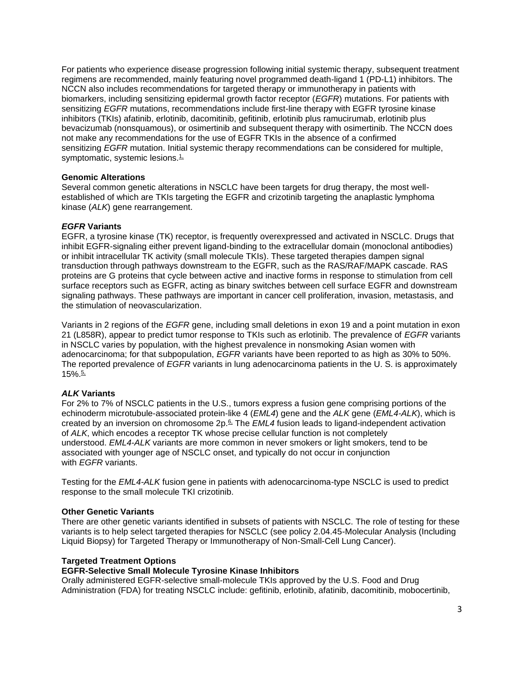For patients who experience disease progression following initial systemic therapy, subsequent treatment regimens are recommended, mainly featuring novel programmed death-ligand 1 (PD-L1) inhibitors. The NCCN also includes recommendations for targeted therapy or immunotherapy in patients with biomarkers, including sensitizing epidermal growth factor receptor (*EGFR*) mutations. For patients with sensitizing *EGFR* mutations, recommendations include first-line therapy with EGFR tyrosine kinase inhibitors (TKIs) afatinib, erlotinib, dacomitinib, gefitinib, erlotinib plus ramucirumab, erlotinib plus bevacizumab (nonsquamous), or osimertinib and subsequent therapy with osimertinib. The NCCN does not make any recommendations for the use of EGFR TKIs in the absence of a confirmed sensitizing *EGFR* mutation. Initial systemic therapy recommendations can be considered for multiple, symptomatic, systemic lesions. $\frac{1}{2}$ 

#### **Genomic Alterations**

Several common genetic alterations in NSCLC have been targets for drug therapy, the most wellestablished of which are TKIs targeting the EGFR and crizotinib targeting the anaplastic lymphoma kinase (*ALK*) gene rearrangement.

#### *EGFR* **Variants**

EGFR, a tyrosine kinase (TK) receptor, is frequently overexpressed and activated in NSCLC. Drugs that inhibit EGFR-signaling either prevent ligand-binding to the extracellular domain (monoclonal antibodies) or inhibit intracellular TK activity (small molecule TKIs). These targeted therapies dampen signal transduction through pathways downstream to the EGFR, such as the RAS/RAF/MAPK cascade. RAS proteins are G proteins that cycle between active and inactive forms in response to stimulation from cell surface receptors such as EGFR, acting as binary switches between cell surface EGFR and downstream signaling pathways. These pathways are important in cancer cell proliferation, invasion, metastasis, and the stimulation of neovascularization.

Variants in 2 regions of the *EGFR* gene, including small deletions in exon 19 and a point mutation in exon 21 (L858R), appear to predict tumor response to TKIs such as erlotinib. The prevalence of *EGFR* variants in NSCLC varies by population, with the highest prevalence in nonsmoking Asian women with adenocarcinoma; for that subpopulation, *EGFR* variants have been reported to as high as 30% to 50%. The reported prevalence of *EGFR* variants in lung adenocarcinoma patients in the U. S. is approximately  $15\%$ .  $5\%$ 

#### *ALK* **Variants**

For 2% to 7% of NSCLC patients in the U.S., tumors express a fusion gene comprising portions of the echinoderm microtubule-associated protein-like 4 (*EML4*) gene and the *ALK* gene (*EML4-ALK*), which is created by an inversion on chromosome 2p.<sup>6</sup> The *EML4* fusion leads to ligand-independent activation of *ALK*, which encodes a receptor TK whose precise cellular function is not completely understood. *EML4-ALK* variants are more common in never smokers or light smokers, tend to be associated with younger age of NSCLC onset, and typically do not occur in conjunction with *EGFR* variants.

Testing for the *EML4-ALK* fusion gene in patients with adenocarcinoma-type NSCLC is used to predict response to the small molecule TKI crizotinib.

#### **Other Genetic Variants**

There are other genetic variants identified in subsets of patients with NSCLC. The role of testing for these variants is to help select targeted therapies for NSCLC (see policy 2.04.45-Molecular Analysis (Including Liquid Biopsy) for Targeted Therapy or Immunotherapy of Non-Small-Cell Lung Cancer).

#### **Targeted Treatment Options**

#### **EGFR-Selective Small Molecule Tyrosine Kinase Inhibitors**

Orally administered EGFR-selective small-molecule TKIs approved by the U.S. Food and Drug Administration (FDA) for treating NSCLC include: gefitinib, erlotinib, afatinib, dacomitinib, mobocertinib,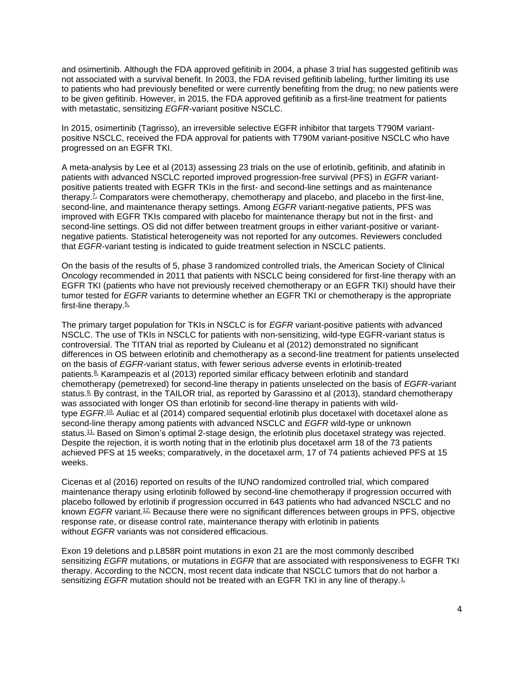and osimertinib. Although the FDA approved gefitinib in 2004, a phase 3 trial has suggested gefitinib was not associated with a survival benefit. In 2003, the FDA revised gefitinib labeling, further limiting its use to patients who had previously benefited or were currently benefiting from the drug; no new patients were to be given gefitinib. However, in 2015, the FDA approved gefitinib as a first-line treatment for patients with metastatic, sensitizing *EGFR*-variant positive NSCLC.

In 2015, osimertinib (Tagrisso), an irreversible selective EGFR inhibitor that targets T790M variantpositive NSCLC, received the FDA approval for patients with T790M variant-positive NSCLC who have progressed on an EGFR TKI.

A meta-analysis by Lee et al (2013) assessing 23 trials on the use of erlotinib, gefitinib, and afatinib in patients with advanced NSCLC reported improved progression-free survival (PFS) in *EGFR* variantpositive patients treated with EGFR TKIs in the first- and second-line settings and as maintenance therapy.<sup> $\zeta$ </sup> Comparators were chemotherapy, chemotherapy and placebo, and placebo in the first-line, second-line, and maintenance therapy settings. Among *EGFR* variant-negative patients, PFS was improved with EGFR TKIs compared with placebo for maintenance therapy but not in the first- and second-line settings. OS did not differ between treatment groups in either variant-positive or variantnegative patients. Statistical heterogeneity was not reported for any outcomes. Reviewers concluded that *EGFR*-variant testing is indicated to guide treatment selection in NSCLC patients.

On the basis of the results of 5, phase 3 randomized controlled trials, the American Society of Clinical Oncology recommended in 2011 that patients with NSCLC being considered for first-line therapy with an EGFR TKI (patients who have not previously received chemotherapy or an EGFR TKI) should have their tumor tested for *EGFR* variants to determine whether an EGFR TKI or chemotherapy is the appropriate first-line therapy.<sup>5</sup>

The primary target population for TKIs in NSCLC is for *EGFR* variant-positive patients with advanced NSCLC. The use of TKIs in NSCLC for patients with non-sensitizing, wild-type EGFR-variant status is controversial. The TITAN trial as reported by Ciuleanu et al (2012) demonstrated no significant differences in OS between erlotinib and chemotherapy as a second-line treatment for patients unselected on the basis of *EGFR*-variant status, with fewer serious adverse events in erlotinib-treated patients.[8,](https://www.evidencepositioningsystem.com/_w_05666b54c8437fd6a8aafd9a953b8c2d87464a944c0f5ac2/bcbsa_html/BCBSA/html/_blank) Karampeazis et al (2013) reported similar efficacy between erlotinib and standard chemotherapy (pemetrexed) for second-line therapy in patients unselected on the basis of *EGFR-*variant status.<sup>9</sup> By contrast, in the TAILOR trial, as reported by Garassino et al (2013), standard chemotherapy was associated with longer OS than erlotinib for second-line therapy in patients with wildtype *EGFR*.<sup>[10,](https://www.evidencepositioningsystem.com/_w_05666b54c8437fd6a8aafd9a953b8c2d87464a944c0f5ac2/bcbsa_html/BCBSA/html/_blank)</sup> Auliac et al (2014) compared sequential erlotinib plus docetaxel with docetaxel alone as second-line therapy among patients with advanced NSCLC and *EGFR* wild-type or unknown status.<sup>11</sup>, Based on Simon's optimal 2-stage design, the erlotinib plus docetaxel strategy was rejected. Despite the rejection, it is worth noting that in the erlotinib plus docetaxel arm 18 of the 73 patients achieved PFS at 15 weeks; comparatively, in the docetaxel arm, 17 of 74 patients achieved PFS at 15 weeks.

Cicenas et al (2016) reported on results of the IUNO randomized controlled trial, which compared maintenance therapy using erlotinib followed by second-line chemotherapy if progression occurred with placebo followed by erlotinib if progression occurred in 643 patients who had advanced NSCLC and no known *EGFR* variant.<sup>12</sup> Because there were no significant differences between groups in PFS, objective response rate, or disease control rate, maintenance therapy with erlotinib in patients without *EGFR* variants was not considered efficacious.

Exon 19 deletions and p.L858R point mutations in exon 21 are the most commonly described sensitizing *EGFR* mutations, or mutations in *EGFR* that are associated with responsiveness to EGFR TKI therapy. According to the NCCN, most recent data indicate that NSCLC tumors that do not harbor a sensitizing *EGFR* mutation should not be treated with an EGFR TKI in any line of therapy.<sup>1</sup>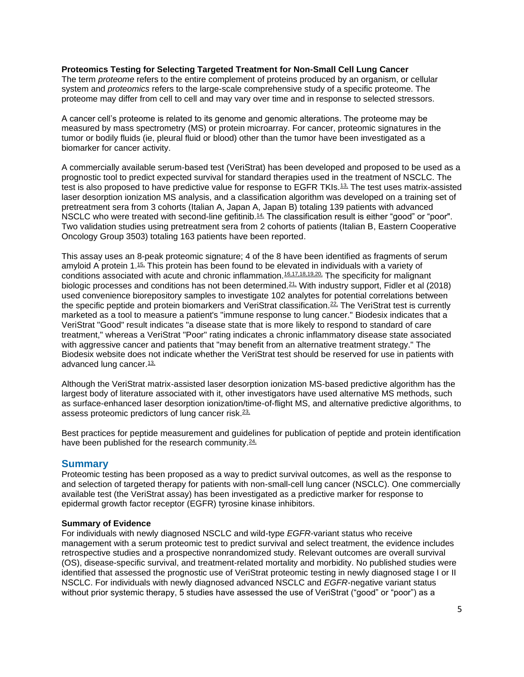#### **Proteomics Testing for Selecting Targeted Treatment for Non-Small Cell Lung Cancer**

The term *proteome* refers to the entire complement of proteins produced by an organism, or cellular system and *proteomics* refers to the large-scale comprehensive study of a specific proteome. The proteome may differ from cell to cell and may vary over time and in response to selected stressors.

A cancer cell's proteome is related to its genome and genomic alterations. The proteome may be measured by mass spectrometry (MS) or protein microarray. For cancer, proteomic signatures in the tumor or bodily fluids (ie, pleural fluid or blood) other than the tumor have been investigated as a biomarker for cancer activity.

A commercially available serum-based test (VeriStrat) has been developed and proposed to be used as a prognostic tool to predict expected survival for standard therapies used in the treatment of NSCLC. The test is also proposed to have predictive value for response to EGFR TKIs.<sup>13</sup>. The test uses matrix-assisted laser desorption ionization MS analysis, and a classification algorithm was developed on a training set of pretreatment sera from 3 cohorts (Italian A, Japan A, Japan B) totaling 139 patients with advanced NSCLC who were treated with second-line gefitinib.<sup>14</sup>. The classification result is either "good" or "poor". Two validation studies using pretreatment sera from 2 cohorts of patients (Italian B, Eastern Cooperative Oncology Group 3503) totaling 163 patients have been reported.

This assay uses an 8-peak proteomic signature; 4 of the 8 have been identified as fragments of serum amyloid A protein 1.<sup>15</sup>. This protein has been found to be elevated in individuals with a variety of conditions associated with acute and chronic inflammation.[16,17,18,19,20,](https://www.evidencepositioningsystem.com/_w_05666b54c8437fd6a8aafd9a953b8c2d87464a944c0f5ac2/bcbsa_html/BCBSA/html/_blank) The specificity for malignant biologic processes and conditions has not been determined.[21,](https://www.evidencepositioningsystem.com/_w_05666b54c8437fd6a8aafd9a953b8c2d87464a944c0f5ac2/bcbsa_html/BCBSA/html/_blank) With industry support, Fidler et al (2018) used convenience biorepository samples to investigate 102 analytes for potential correlations between the specific peptide and protein biomarkers and VeriStrat classification.<sup>22</sup> The VeriStrat test is currently marketed as a tool to measure a patient's "immune response to lung cancer." Biodesix indicates that a VeriStrat "Good" result indicates "a disease state that is more likely to respond to standard of care treatment," whereas a VeriStrat "Poor" rating indicates a chronic inflammatory disease state associated with aggressive cancer and patients that "may benefit from an alternative treatment strategy." The Biodesix website does not indicate whether the VeriStrat test should be reserved for use in patients with advanced lung cancer.<sup>[13,](https://www.evidencepositioningsystem.com/_w_05666b54c8437fd6a8aafd9a953b8c2d87464a944c0f5ac2/bcbsa_html/BCBSA/html/_blank)</sup>

Although the VeriStrat matrix-assisted laser desorption ionization MS-based predictive algorithm has the largest body of literature associated with it, other investigators have used alternative MS methods, such as surface-enhanced laser desorption ionization/time-of-flight MS, and alternative predictive algorithms, to assess proteomic predictors of lung cancer risk.<sup>[23,](https://www.evidencepositioningsystem.com/_w_05666b54c8437fd6a8aafd9a953b8c2d87464a944c0f5ac2/bcbsa_html/BCBSA/html/_blank)</sup>

Best practices for peptide measurement and guidelines for publication of peptide and protein identification have been published for the research community.<sup>[24,](https://www.evidencepositioningsystem.com/_w_05666b54c8437fd6a8aafd9a953b8c2d87464a944c0f5ac2/bcbsa_html/BCBSA/html/_blank)</sup>

## **Summary**

Proteomic testing has been proposed as a way to predict survival outcomes, as well as the response to and selection of targeted therapy for patients with non-small-cell lung cancer (NSCLC). One commercially available test (the VeriStrat assay) has been investigated as a predictive marker for response to epidermal growth factor receptor (EGFR) tyrosine kinase inhibitors.

#### **Summary of Evidence**

For individuals with newly diagnosed NSCLC and wild-type *EGFR*-variant status who receive management with a serum proteomic test to predict survival and select treatment, the evidence includes retrospective studies and a prospective nonrandomized study. Relevant outcomes are overall survival (OS), disease-specific survival, and treatment-related mortality and morbidity. No published studies were identified that assessed the prognostic use of VeriStrat proteomic testing in newly diagnosed stage I or II NSCLC. For individuals with newly diagnosed advanced NSCLC and *EGFR*-negative variant status without prior systemic therapy, 5 studies have assessed the use of VeriStrat ("good" or "poor") as a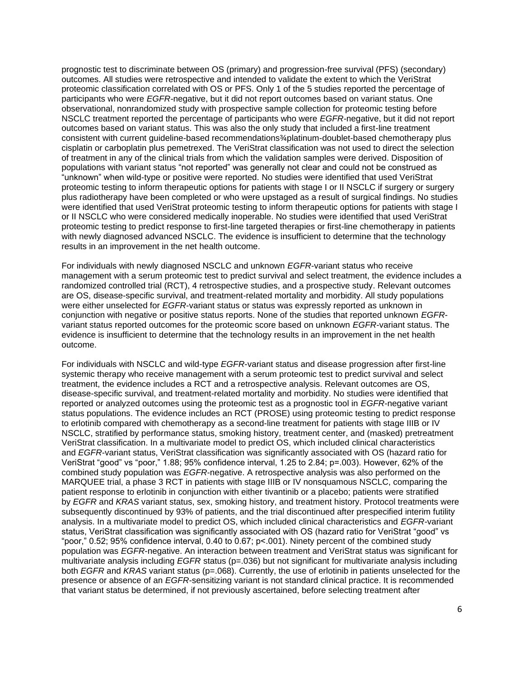prognostic test to discriminate between OS (primary) and progression-free survival (PFS) (secondary) outcomes. All studies were retrospective and intended to validate the extent to which the VeriStrat proteomic classification correlated with OS or PFS. Only 1 of the 5 studies reported the percentage of participants who were *EGFR-*negative, but it did not report outcomes based on variant status. One observational, nonrandomized study with prospective sample collection for proteomic testing before NSCLC treatment reported the percentage of participants who were *EGFR-*negative, but it did not report outcomes based on variant status. This was also the only study that included a first-line treatment consistent with current guideline-based recommendations¾platinum-doublet-based chemotherapy plus cisplatin or carboplatin plus pemetrexed. The VeriStrat classification was not used to direct the selection of treatment in any of the clinical trials from which the validation samples were derived. Disposition of populations with variant status "not reported" was generally not clear and could not be construed as "unknown" when wild-type or positive were reported. No studies were identified that used VeriStrat proteomic testing to inform therapeutic options for patients with stage I or II NSCLC if surgery or surgery plus radiotherapy have been completed or who were upstaged as a result of surgical findings. No studies were identified that used VeriStrat proteomic testing to inform therapeutic options for patients with stage I or II NSCLC who were considered medically inoperable. No studies were identified that used VeriStrat proteomic testing to predict response to first-line targeted therapies or first-line chemotherapy in patients with newly diagnosed advanced NSCLC. The evidence is insufficient to determine that the technology results in an improvement in the net health outcome.

For individuals with newly diagnosed NSCLC and unknown *EGFR-*variant status who receive management with a serum proteomic test to predict survival and select treatment, the evidence includes a randomized controlled trial (RCT), 4 retrospective studies, and a prospective study. Relevant outcomes are OS, disease-specific survival, and treatment-related mortality and morbidity. All study populations were either unselected for *EGFR*-variant status or status was expressly reported as unknown in conjunction with negative or positive status reports. None of the studies that reported unknown *EGFR*variant status reported outcomes for the proteomic score based on unknown *EGFR*-variant status. The evidence is insufficient to determine that the technology results in an improvement in the net health outcome.

For individuals with NSCLC and wild-type *EGFR*-variant status and disease progression after first-line systemic therapy who receive management with a serum proteomic test to predict survival and select treatment, the evidence includes a RCT and a retrospective analysis. Relevant outcomes are OS, disease-specific survival, and treatment-related mortality and morbidity. No studies were identified that reported or analyzed outcomes using the proteomic test as a prognostic tool in *EGFR*-negative variant status populations. The evidence includes an RCT (PROSE) using proteomic testing to predict response to erlotinib compared with chemotherapy as a second-line treatment for patients with stage IIIB or IV NSCLC, stratified by performance status, smoking history, treatment center, and (masked) pretreatment VeriStrat classification. In a multivariate model to predict OS, which included clinical characteristics and *EGFR-*variant status, VeriStrat classification was significantly associated with OS (hazard ratio for VeriStrat "good" vs "poor," 1.88; 95% confidence interval, 1.25 to 2.84; p=.003). However, 62% of the combined study population was *EGFR*-negative. A retrospective analysis was also performed on the MARQUEE trial, a phase 3 RCT in patients with stage IIIB or IV nonsquamous NSCLC, comparing the patient response to erlotinib in conjunction with either tivantinib or a placebo; patients were stratified by *EGFR* and *KRAS* variant status, sex, smoking history, and treatment history. Protocol treatments were subsequently discontinued by 93% of patients, and the trial discontinued after prespecified interim futility analysis. In a multivariate model to predict OS, which included clinical characteristics and *EGFR-*variant status, VeriStrat classification was significantly associated with OS (hazard ratio for VeriStrat "good" vs "poor," 0.52; 95% confidence interval, 0.40 to 0.67; p<.001). Ninety percent of the combined study population was *EGFR*-negative. An interaction between treatment and VeriStrat status was significant for multivariate analysis including *EGFR* status (p=.036) but not significant for multivariate analysis including both *EGFR* and *KRAS* variant status (p=.068). Currently, the use of erlotinib in patients unselected for the presence or absence of an *EGFR*-sensitizing variant is not standard clinical practice. It is recommended that variant status be determined, if not previously ascertained, before selecting treatment after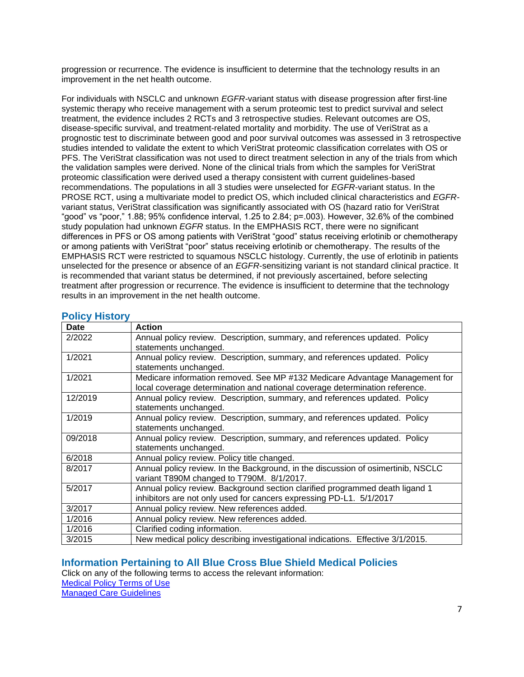progression or recurrence. The evidence is insufficient to determine that the technology results in an improvement in the net health outcome.

For individuals with NSCLC and unknown *EGFR-*variant status with disease progression after first-line systemic therapy who receive management with a serum proteomic test to predict survival and select treatment, the evidence includes 2 RCTs and 3 retrospective studies. Relevant outcomes are OS, disease-specific survival, and treatment-related mortality and morbidity. The use of VeriStrat as a prognostic test to discriminate between good and poor survival outcomes was assessed in 3 retrospective studies intended to validate the extent to which VeriStrat proteomic classification correlates with OS or PFS. The VeriStrat classification was not used to direct treatment selection in any of the trials from which the validation samples were derived. None of the clinical trials from which the samples for VeriStrat proteomic classification were derived used a therapy consistent with current guidelines-based recommendations. The populations in all 3 studies were unselected for *EGFR*-variant status. In the PROSE RCT, using a multivariate model to predict OS, which included clinical characteristics and *EGFR*variant status, VeriStrat classification was significantly associated with OS (hazard ratio for VeriStrat "good" vs "poor," 1.88; 95% confidence interval, 1.25 to 2.84; p=.003). However, 32.6% of the combined study population had unknown *EGFR* status. In the EMPHASIS RCT, there were no significant differences in PFS or OS among patients with VeriStrat "good" status receiving erlotinib or chemotherapy or among patients with VeriStrat "poor" status receiving erlotinib or chemotherapy. The results of the EMPHASIS RCT were restricted to squamous NSCLC histology. Currently, the use of erlotinib in patients unselected for the presence or absence of an *EGFR*-sensitizing variant is not standard clinical practice. It is recommended that variant status be determined, if not previously ascertained, before selecting treatment after progression or recurrence. The evidence is insufficient to determine that the technology results in an improvement in the net health outcome.

| Date    | <b>Action</b>                                                                                                                                              |
|---------|------------------------------------------------------------------------------------------------------------------------------------------------------------|
| 2/2022  | Annual policy review. Description, summary, and references updated. Policy<br>statements unchanged.                                                        |
| 1/2021  | Annual policy review. Description, summary, and references updated. Policy<br>statements unchanged.                                                        |
| 1/2021  | Medicare information removed. See MP #132 Medicare Advantage Management for<br>local coverage determination and national coverage determination reference. |
| 12/2019 | Annual policy review. Description, summary, and references updated. Policy<br>statements unchanged.                                                        |
| 1/2019  | Annual policy review. Description, summary, and references updated. Policy<br>statements unchanged.                                                        |
| 09/2018 | Annual policy review. Description, summary, and references updated. Policy<br>statements unchanged.                                                        |
| 6/2018  | Annual policy review. Policy title changed.                                                                                                                |
| 8/2017  | Annual policy review. In the Background, in the discussion of osimertinib, NSCLC<br>variant T890M changed to T790M. 8/1/2017.                              |
| 5/2017  | Annual policy review. Background section clarified programmed death ligand 1<br>inhibitors are not only used for cancers expressing PD-L1. 5/1/2017        |
| 3/2017  | Annual policy review. New references added.                                                                                                                |
| 1/2016  | Annual policy review. New references added.                                                                                                                |
| 1/2016  | Clarified coding information.                                                                                                                              |
| 3/2015  | New medical policy describing investigational indications. Effective 3/1/2015.                                                                             |

### <span id="page-6-1"></span>**Policy History**

## <span id="page-6-0"></span>**Information Pertaining to All Blue Cross Blue Shield Medical Policies**

Click on any of the following terms to access the relevant information: [Medical Policy Terms of Use](http://www.bluecrossma.org/medical-policies/sites/g/files/csphws2091/files/acquiadam-assets/Medical_Policy_Terms_of_Use_prn.pdf) [Managed Care Guidelines](http://www.bluecrossma.org/medical-policies/sites/g/files/csphws2091/files/acquiadam-assets/Managed_Care_Guidelines_prn.pdf)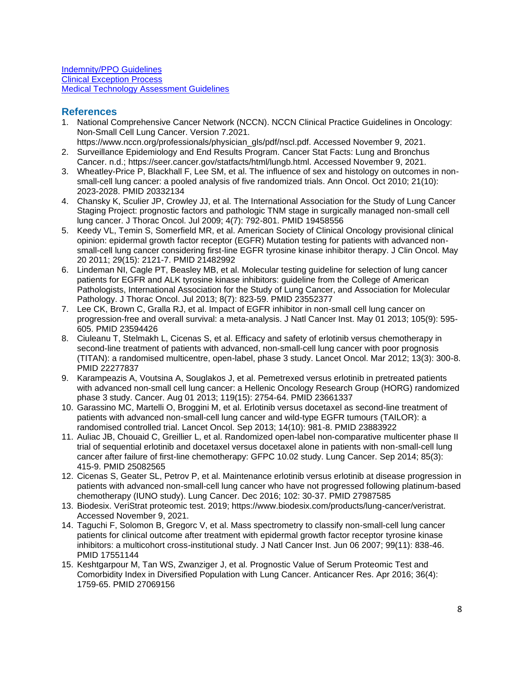[Indemnity/PPO Guidelines](http://www.bluecrossma.org/medical-policies/sites/g/files/csphws2091/files/acquiadam-assets/Indemnity_and_PPO_Guidelines_prn.pdf) [Clinical Exception Process](http://www.bluecrossma.org/medical-policies/sites/g/files/csphws2091/files/acquiadam-assets/Clinical_Exception_Process_prn.pdf) [Medical Technology Assessment Guidelines](http://www.bluecrossma.org/medical-policies/sites/g/files/csphws2091/files/acquiadam-assets/Medical_Technology_Assessment_Guidelines_prn.pdf)

## <span id="page-7-0"></span>**References**

- 1. National Comprehensive Cancer Network (NCCN). NCCN Clinical Practice Guidelines in Oncology: Non-Small Cell Lung Cancer. Version 7.2021.
- https://www.nccn.org/professionals/physician\_gls/pdf/nscl.pdf. Accessed November 9, 2021. 2. Surveillance Epidemiology and End Results Program. Cancer Stat Facts: Lung and Bronchus
- Cancer. n.d.; https://seer.cancer.gov/statfacts/html/lungb.html. Accessed November 9, 2021. 3. Wheatley-Price P, Blackhall F, Lee SM, et al. The influence of sex and histology on outcomes in nonsmall-cell lung cancer: a pooled analysis of five randomized trials. Ann Oncol. Oct 2010; 21(10): 2023-2028. PMID 20332134
- 4. Chansky K, Sculier JP, Crowley JJ, et al. The International Association for the Study of Lung Cancer Staging Project: prognostic factors and pathologic TNM stage in surgically managed non-small cell lung cancer. J Thorac Oncol. Jul 2009; 4(7): 792-801. PMID 19458556
- 5. Keedy VL, Temin S, Somerfield MR, et al. American Society of Clinical Oncology provisional clinical opinion: epidermal growth factor receptor (EGFR) Mutation testing for patients with advanced nonsmall-cell lung cancer considering first-line EGFR tyrosine kinase inhibitor therapy. J Clin Oncol. May 20 2011; 29(15): 2121-7. PMID 21482992
- 6. Lindeman NI, Cagle PT, Beasley MB, et al. Molecular testing guideline for selection of lung cancer patients for EGFR and ALK tyrosine kinase inhibitors: guideline from the College of American Pathologists, International Association for the Study of Lung Cancer, and Association for Molecular Pathology. J Thorac Oncol. Jul 2013; 8(7): 823-59. PMID 23552377
- 7. Lee CK, Brown C, Gralla RJ, et al. Impact of EGFR inhibitor in non-small cell lung cancer on progression-free and overall survival: a meta-analysis. J Natl Cancer Inst. May 01 2013; 105(9): 595- 605. PMID 23594426
- 8. Ciuleanu T, Stelmakh L, Cicenas S, et al. Efficacy and safety of erlotinib versus chemotherapy in second-line treatment of patients with advanced, non-small-cell lung cancer with poor prognosis (TITAN): a randomised multicentre, open-label, phase 3 study. Lancet Oncol. Mar 2012; 13(3): 300-8. PMID 22277837
- 9. Karampeazis A, Voutsina A, Souglakos J, et al. Pemetrexed versus erlotinib in pretreated patients with advanced non-small cell lung cancer: a Hellenic Oncology Research Group (HORG) randomized phase 3 study. Cancer. Aug 01 2013; 119(15): 2754-64. PMID 23661337
- 10. Garassino MC, Martelli O, Broggini M, et al. Erlotinib versus docetaxel as second-line treatment of patients with advanced non-small-cell lung cancer and wild-type EGFR tumours (TAILOR): a randomised controlled trial. Lancet Oncol. Sep 2013; 14(10): 981-8. PMID 23883922
- 11. Auliac JB, Chouaid C, Greillier L, et al. Randomized open-label non-comparative multicenter phase II trial of sequential erlotinib and docetaxel versus docetaxel alone in patients with non-small-cell lung cancer after failure of first-line chemotherapy: GFPC 10.02 study. Lung Cancer. Sep 2014; 85(3): 415-9. PMID 25082565
- 12. Cicenas S, Geater SL, Petrov P, et al. Maintenance erlotinib versus erlotinib at disease progression in patients with advanced non-small-cell lung cancer who have not progressed following platinum-based chemotherapy (IUNO study). Lung Cancer. Dec 2016; 102: 30-37. PMID 27987585
- 13. Biodesix. VeriStrat proteomic test. 2019; https://www.biodesix.com/products/lung-cancer/veristrat. Accessed November 9, 2021.
- 14. Taguchi F, Solomon B, Gregorc V, et al. Mass spectrometry to classify non-small-cell lung cancer patients for clinical outcome after treatment with epidermal growth factor receptor tyrosine kinase inhibitors: a multicohort cross-institutional study. J Natl Cancer Inst. Jun 06 2007; 99(11): 838-46. PMID 17551144
- 15. Keshtgarpour M, Tan WS, Zwanziger J, et al. Prognostic Value of Serum Proteomic Test and Comorbidity Index in Diversified Population with Lung Cancer. Anticancer Res. Apr 2016; 36(4): 1759-65. PMID 27069156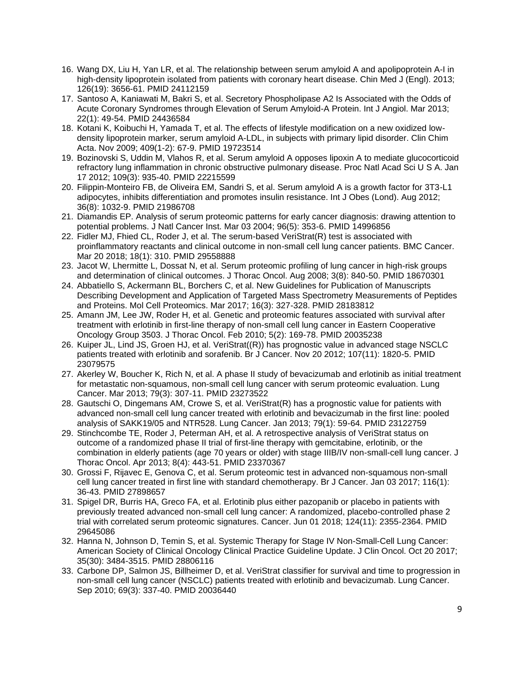- 16. Wang DX, Liu H, Yan LR, et al. The relationship between serum amyloid A and apolipoprotein A-I in high-density lipoprotein isolated from patients with coronary heart disease. Chin Med J (Engl). 2013; 126(19): 3656-61. PMID 24112159
- 17. Santoso A, Kaniawati M, Bakri S, et al. Secretory Phospholipase A2 Is Associated with the Odds of Acute Coronary Syndromes through Elevation of Serum Amyloid-A Protein. Int J Angiol. Mar 2013; 22(1): 49-54. PMID 24436584
- 18. Kotani K, Koibuchi H, Yamada T, et al. The effects of lifestyle modification on a new oxidized lowdensity lipoprotein marker, serum amyloid A-LDL, in subjects with primary lipid disorder. Clin Chim Acta. Nov 2009; 409(1-2): 67-9. PMID 19723514
- 19. Bozinovski S, Uddin M, Vlahos R, et al. Serum amyloid A opposes lipoxin A to mediate glucocorticoid refractory lung inflammation in chronic obstructive pulmonary disease. Proc Natl Acad Sci U S A. Jan 17 2012; 109(3): 935-40. PMID 22215599
- 20. Filippin-Monteiro FB, de Oliveira EM, Sandri S, et al. Serum amyloid A is a growth factor for 3T3-L1 adipocytes, inhibits differentiation and promotes insulin resistance. Int J Obes (Lond). Aug 2012; 36(8): 1032-9. PMID 21986708
- 21. Diamandis EP. Analysis of serum proteomic patterns for early cancer diagnosis: drawing attention to potential problems. J Natl Cancer Inst. Mar 03 2004; 96(5): 353-6. PMID 14996856
- 22. Fidler MJ, Fhied CL, Roder J, et al. The serum-based VeriStrat(R) test is associated with proinflammatory reactants and clinical outcome in non-small cell lung cancer patients. BMC Cancer. Mar 20 2018; 18(1): 310. PMID 29558888
- 23. Jacot W, Lhermitte L, Dossat N, et al. Serum proteomic profiling of lung cancer in high-risk groups and determination of clinical outcomes. J Thorac Oncol. Aug 2008; 3(8): 840-50. PMID 18670301
- 24. Abbatiello S, Ackermann BL, Borchers C, et al. New Guidelines for Publication of Manuscripts Describing Development and Application of Targeted Mass Spectrometry Measurements of Peptides and Proteins. Mol Cell Proteomics. Mar 2017; 16(3): 327-328. PMID 28183812
- 25. Amann JM, Lee JW, Roder H, et al. Genetic and proteomic features associated with survival after treatment with erlotinib in first-line therapy of non-small cell lung cancer in Eastern Cooperative Oncology Group 3503. J Thorac Oncol. Feb 2010; 5(2): 169-78. PMID 20035238
- 26. Kuiper JL, Lind JS, Groen HJ, et al. VeriStrat((R)) has prognostic value in advanced stage NSCLC patients treated with erlotinib and sorafenib. Br J Cancer. Nov 20 2012; 107(11): 1820-5. PMID 23079575
- 27. Akerley W, Boucher K, Rich N, et al. A phase II study of bevacizumab and erlotinib as initial treatment for metastatic non-squamous, non-small cell lung cancer with serum proteomic evaluation. Lung Cancer. Mar 2013; 79(3): 307-11. PMID 23273522
- 28. Gautschi O, Dingemans AM, Crowe S, et al. VeriStrat(R) has a prognostic value for patients with advanced non-small cell lung cancer treated with erlotinib and bevacizumab in the first line: pooled analysis of SAKK19/05 and NTR528. Lung Cancer. Jan 2013; 79(1): 59-64. PMID 23122759
- 29. Stinchcombe TE, Roder J, Peterman AH, et al. A retrospective analysis of VeriStrat status on outcome of a randomized phase II trial of first-line therapy with gemcitabine, erlotinib, or the combination in elderly patients (age 70 years or older) with stage IIIB/IV non-small-cell lung cancer. J Thorac Oncol. Apr 2013; 8(4): 443-51. PMID 23370367
- 30. Grossi F, Rijavec E, Genova C, et al. Serum proteomic test in advanced non-squamous non-small cell lung cancer treated in first line with standard chemotherapy. Br J Cancer. Jan 03 2017; 116(1): 36-43. PMID 27898657
- 31. Spigel DR, Burris HA, Greco FA, et al. Erlotinib plus either pazopanib or placebo in patients with previously treated advanced non-small cell lung cancer: A randomized, placebo-controlled phase 2 trial with correlated serum proteomic signatures. Cancer. Jun 01 2018; 124(11): 2355-2364. PMID 29645086
- 32. Hanna N, Johnson D, Temin S, et al. Systemic Therapy for Stage IV Non-Small-Cell Lung Cancer: American Society of Clinical Oncology Clinical Practice Guideline Update. J Clin Oncol. Oct 20 2017; 35(30): 3484-3515. PMID 28806116
- 33. Carbone DP, Salmon JS, Billheimer D, et al. VeriStrat classifier for survival and time to progression in non-small cell lung cancer (NSCLC) patients treated with erlotinib and bevacizumab. Lung Cancer. Sep 2010; 69(3): 337-40. PMID 20036440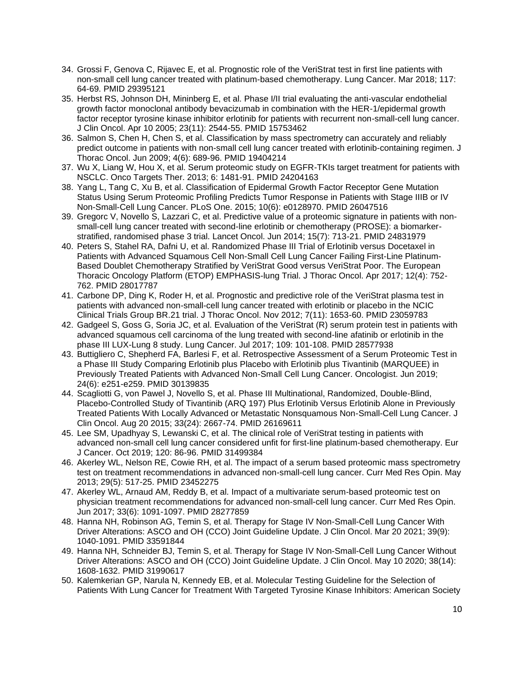- 34. Grossi F, Genova C, Rijavec E, et al. Prognostic role of the VeriStrat test in first line patients with non-small cell lung cancer treated with platinum-based chemotherapy. Lung Cancer. Mar 2018; 117: 64-69. PMID 29395121
- 35. Herbst RS, Johnson DH, Mininberg E, et al. Phase I/II trial evaluating the anti-vascular endothelial growth factor monoclonal antibody bevacizumab in combination with the HER-1/epidermal growth factor receptor tyrosine kinase inhibitor erlotinib for patients with recurrent non-small-cell lung cancer. J Clin Oncol. Apr 10 2005; 23(11): 2544-55. PMID 15753462
- 36. Salmon S, Chen H, Chen S, et al. Classification by mass spectrometry can accurately and reliably predict outcome in patients with non-small cell lung cancer treated with erlotinib-containing regimen. J Thorac Oncol. Jun 2009; 4(6): 689-96. PMID 19404214
- 37. Wu X, Liang W, Hou X, et al. Serum proteomic study on EGFR-TKIs target treatment for patients with NSCLC. Onco Targets Ther. 2013; 6: 1481-91. PMID 24204163
- 38. Yang L, Tang C, Xu B, et al. Classification of Epidermal Growth Factor Receptor Gene Mutation Status Using Serum Proteomic Profiling Predicts Tumor Response in Patients with Stage IIIB or IV Non-Small-Cell Lung Cancer. PLoS One. 2015; 10(6): e0128970. PMID 26047516
- 39. Gregorc V, Novello S, Lazzari C, et al. Predictive value of a proteomic signature in patients with nonsmall-cell lung cancer treated with second-line erlotinib or chemotherapy (PROSE): a biomarkerstratified, randomised phase 3 trial. Lancet Oncol. Jun 2014; 15(7): 713-21. PMID 24831979
- 40. Peters S, Stahel RA, Dafni U, et al. Randomized Phase III Trial of Erlotinib versus Docetaxel in Patients with Advanced Squamous Cell Non-Small Cell Lung Cancer Failing First-Line Platinum-Based Doublet Chemotherapy Stratified by VeriStrat Good versus VeriStrat Poor. The European Thoracic Oncology Platform (ETOP) EMPHASIS-lung Trial. J Thorac Oncol. Apr 2017; 12(4): 752- 762. PMID 28017787
- 41. Carbone DP, Ding K, Roder H, et al. Prognostic and predictive role of the VeriStrat plasma test in patients with advanced non-small-cell lung cancer treated with erlotinib or placebo in the NCIC Clinical Trials Group BR.21 trial. J Thorac Oncol. Nov 2012; 7(11): 1653-60. PMID 23059783
- 42. Gadgeel S, Goss G, Soria JC, et al. Evaluation of the VeriStrat (R) serum protein test in patients with advanced squamous cell carcinoma of the lung treated with second-line afatinib or erlotinib in the phase III LUX-Lung 8 study. Lung Cancer. Jul 2017; 109: 101-108. PMID 28577938
- 43. Buttigliero C, Shepherd FA, Barlesi F, et al. Retrospective Assessment of a Serum Proteomic Test in a Phase III Study Comparing Erlotinib plus Placebo with Erlotinib plus Tivantinib (MARQUEE) in Previously Treated Patients with Advanced Non-Small Cell Lung Cancer. Oncologist. Jun 2019; 24(6): e251-e259. PMID 30139835
- 44. Scagliotti G, von Pawel J, Novello S, et al. Phase III Multinational, Randomized, Double-Blind, Placebo-Controlled Study of Tivantinib (ARQ 197) Plus Erlotinib Versus Erlotinib Alone in Previously Treated Patients With Locally Advanced or Metastatic Nonsquamous Non-Small-Cell Lung Cancer. J Clin Oncol. Aug 20 2015; 33(24): 2667-74. PMID 26169611
- 45. Lee SM, Upadhyay S, Lewanski C, et al. The clinical role of VeriStrat testing in patients with advanced non-small cell lung cancer considered unfit for first-line platinum-based chemotherapy. Eur J Cancer. Oct 2019; 120: 86-96. PMID 31499384
- 46. Akerley WL, Nelson RE, Cowie RH, et al. The impact of a serum based proteomic mass spectrometry test on treatment recommendations in advanced non-small-cell lung cancer. Curr Med Res Opin. May 2013; 29(5): 517-25. PMID 23452275
- 47. Akerley WL, Arnaud AM, Reddy B, et al. Impact of a multivariate serum-based proteomic test on physician treatment recommendations for advanced non-small-cell lung cancer. Curr Med Res Opin. Jun 2017; 33(6): 1091-1097. PMID 28277859
- 48. Hanna NH, Robinson AG, Temin S, et al. Therapy for Stage IV Non-Small-Cell Lung Cancer With Driver Alterations: ASCO and OH (CCO) Joint Guideline Update. J Clin Oncol. Mar 20 2021; 39(9): 1040-1091. PMID 33591844
- 49. Hanna NH, Schneider BJ, Temin S, et al. Therapy for Stage IV Non-Small-Cell Lung Cancer Without Driver Alterations: ASCO and OH (CCO) Joint Guideline Update. J Clin Oncol. May 10 2020; 38(14): 1608-1632. PMID 31990617
- 50. Kalemkerian GP, Narula N, Kennedy EB, et al. Molecular Testing Guideline for the Selection of Patients With Lung Cancer for Treatment With Targeted Tyrosine Kinase Inhibitors: American Society